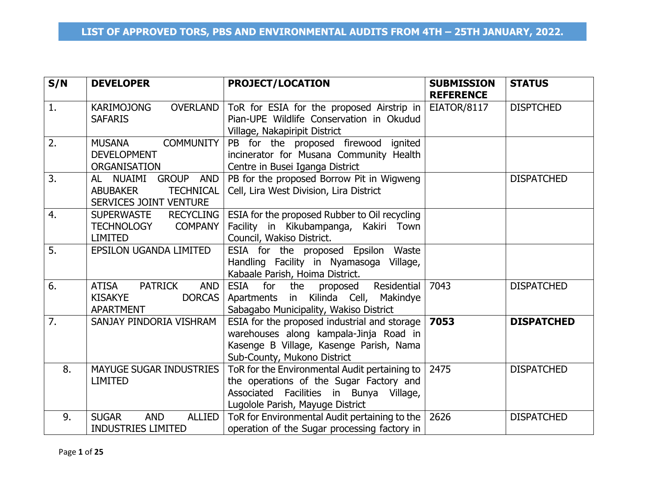| S/N | <b>DEVELOPER</b>                                                                                    | <b>PROJECT/LOCATION</b>                                                                                                                                                       | <b>SUBMISSION</b><br><b>REFERENCE</b> | <b>STATUS</b>     |
|-----|-----------------------------------------------------------------------------------------------------|-------------------------------------------------------------------------------------------------------------------------------------------------------------------------------|---------------------------------------|-------------------|
| 1.  | <b>KARIMOJONG</b><br><b>OVERLAND</b><br><b>SAFARIS</b>                                              | ToR for ESIA for the proposed Airstrip in $ $<br>Pian-UPE Wildlife Conservation in Okudud<br>Village, Nakapiripit District                                                    | EIATOR/8117                           | <b>DISPTCHED</b>  |
| 2.  | <b>COMMUNITY</b><br><b>MUSANA</b><br><b>DEVELOPMENT</b><br><b>ORGANISATION</b>                      | PB for the proposed firewood ignited<br>incinerator for Musana Community Health<br>Centre in Busei Iganga District                                                            |                                       |                   |
| 3.  | GROUP AND<br>AL NUAIMI<br><b>TECHNICAL</b><br><b>ABUBAKER</b><br>SERVICES JOINT VENTURE             | PB for the proposed Borrow Pit in Wigweng<br>Cell, Lira West Division, Lira District                                                                                          |                                       | <b>DISPATCHED</b> |
| 4.  | <b>SUPERWASTE</b><br><b>RECYCLING</b><br><b>COMPANY</b><br><b>TECHNOLOGY</b><br><b>LIMITED</b>      | ESIA for the proposed Rubber to Oil recycling<br>Facility in Kikubampanga, Kakiri Town<br>Council, Wakiso District.                                                           |                                       |                   |
| 5.  | EPSILON UGANDA LIMITED                                                                              | ESIA for the proposed Epsilon Waste<br>Handling Facility in Nyamasoga Village,<br>Kabaale Parish, Hoima District.                                                             |                                       |                   |
| 6.  | <b>ATISA</b><br><b>PATRICK</b><br><b>AND</b><br><b>KISAKYE</b><br><b>DORCAS</b><br><b>APARTMENT</b> | ESIA for the proposed<br>Residential<br>Apartments in Kilinda Cell, Makindye<br>Sabagabo Municipality, Wakiso District                                                        | 7043                                  | <b>DISPATCHED</b> |
| 7.  | SANJAY PINDORIA VISHRAM                                                                             | ESIA for the proposed industrial and storage $\vert$ 7053<br>warehouses along kampala-Jinja Road in<br>Kasenge B Village, Kasenge Parish, Nama<br>Sub-County, Mukono District |                                       | <b>DISPATCHED</b> |
| 8.  | <b>MAYUGE SUGAR INDUSTRIES</b><br><b>LIMITED</b>                                                    | ToR for the Environmental Audit pertaining to<br>the operations of the Sugar Factory and<br>Associated Facilities in Bunya Village,<br>Lugolole Parish, Mayuge District       | 2475                                  | <b>DISPATCHED</b> |
| 9.  | <b>SUGAR</b><br><b>ALLIED</b><br><b>AND</b><br><b>INDUSTRIES LIMITED</b>                            | ToR for Environmental Audit pertaining to the   2626<br>operation of the Sugar processing factory in                                                                          |                                       | <b>DISPATCHED</b> |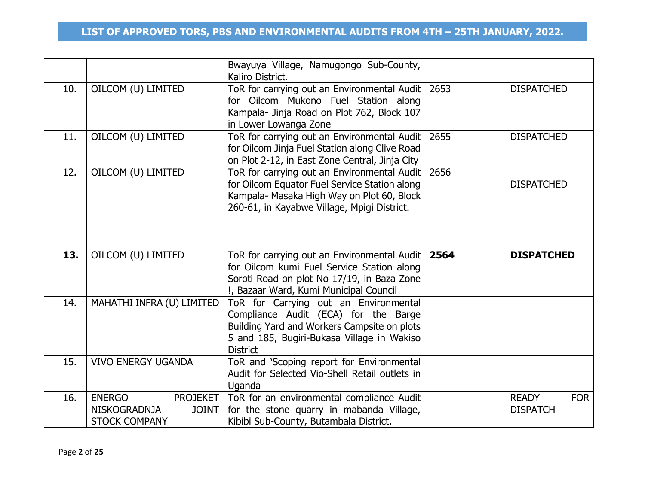|     |                           | Bwayuya Village, Namugongo Sub-County,<br>Kaliro District.                                                                                                                                    |      |                   |
|-----|---------------------------|-----------------------------------------------------------------------------------------------------------------------------------------------------------------------------------------------|------|-------------------|
| 10. | OILCOM (U) LIMITED        | ToR for carrying out an Environmental Audit  <br>for Oilcom Mukono Fuel Station along<br>Kampala- Jinja Road on Plot 762, Block 107<br>in Lower Lowanga Zone                                  | 2653 | <b>DISPATCHED</b> |
| 11. | OILCOM (U) LIMITED        | ToR for carrying out an Environmental Audit<br>for Oilcom Jinja Fuel Station along Clive Road<br>on Plot 2-12, in East Zone Central, Jinja City                                               | 2655 | <b>DISPATCHED</b> |
| 12. | OILCOM (U) LIMITED        | ToR for carrying out an Environmental Audit<br>for Oilcom Equator Fuel Service Station along<br>Kampala- Masaka High Way on Plot 60, Block<br>260-61, in Kayabwe Village, Mpigi District.     | 2656 | <b>DISPATCHED</b> |
| 13. | OILCOM (U) LIMITED        | ToR for carrying out an Environmental Audit<br>for Oilcom kumi Fuel Service Station along<br>Soroti Road on plot No 17/19, in Baza Zone<br>!, Bazaar Ward, Kumi Municipal Council             | 2564 | <b>DISPATCHED</b> |
| 14. | MAHATHI INFRA (U) LIMITED | ToR for Carrying out an Environmental<br>Compliance Audit (ECA) for the Barge<br>Building Yard and Workers Campsite on plots<br>5 and 185, Bugiri-Bukasa Village in Wakiso<br><b>District</b> |      |                   |
| 15. | <b>VIVO ENERGY UGANDA</b> | ToR and 'Scoping report for Environmental<br>Audit for Selected Vio-Shell Retail outlets in<br>Uganda                                                                                         |      |                   |
| 16. |                           |                                                                                                                                                                                               |      |                   |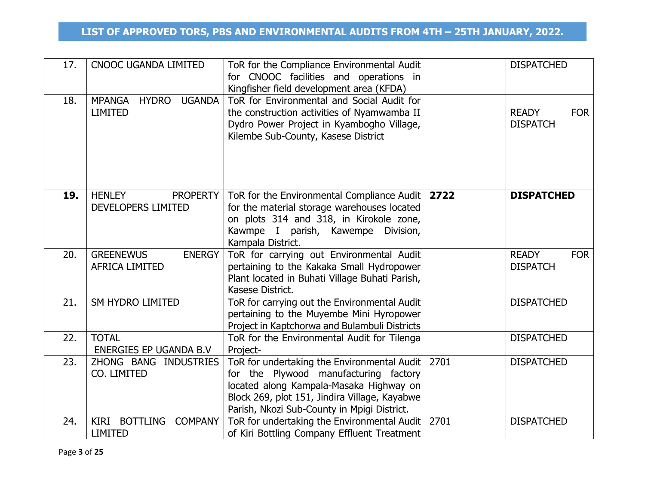| 17. | <b>CNOOC UGANDA LIMITED</b>                                      | ToR for the Compliance Environmental Audit<br>for CNOOC facilities and operations in<br>Kingfisher field development area (KFDA)                                                                                                |      | <b>DISPATCHED</b>                             |
|-----|------------------------------------------------------------------|---------------------------------------------------------------------------------------------------------------------------------------------------------------------------------------------------------------------------------|------|-----------------------------------------------|
| 18. | <b>MPANGA</b><br><b>HYDRO</b><br><b>UGANDA</b><br><b>LIMITED</b> | ToR for Environmental and Social Audit for<br>the construction activities of Nyamwamba II<br>Dydro Power Project in Kyambogho Village,<br>Kilembe Sub-County, Kasese District                                                   |      | <b>READY</b><br><b>FOR</b><br><b>DISPATCH</b> |
| 19. | <b>HENLEY</b><br><b>PROPERTY</b><br>DEVELOPERS LIMITED           | ToR for the Environmental Compliance Audit  <br>for the material storage warehouses located<br>on plots 314 and 318, in Kirokole zone,<br>Kawmpe I parish, Kawempe<br>Division,<br>Kampala District.                            | 2722 | <b>DISPATCHED</b>                             |
| 20. | <b>GREENEWUS</b><br><b>ENERGY</b><br><b>AFRICA LIMITED</b>       | ToR for carrying out Environmental Audit<br>pertaining to the Kakaka Small Hydropower<br>Plant located in Buhati Village Buhati Parish,<br>Kasese District.                                                                     |      | <b>READY</b><br><b>FOR</b><br><b>DISPATCH</b> |
| 21. | <b>SM HYDRO LIMITED</b>                                          | ToR for carrying out the Environmental Audit<br>pertaining to the Muyembe Mini Hyropower<br>Project in Kaptchorwa and Bulambuli Districts                                                                                       |      | <b>DISPATCHED</b>                             |
| 22. | <b>TOTAL</b><br>ENERGIES EP UGANDA B.V                           | ToR for the Environmental Audit for Tilenga<br>Project-                                                                                                                                                                         |      | <b>DISPATCHED</b>                             |
| 23. | ZHONG BANG INDUSTRIES<br>CO. LIMITED                             | ToR for undertaking the Environmental Audit<br>for the Plywood manufacturing factory<br>located along Kampala-Masaka Highway on<br>Block 269, plot 151, Jindira Village, Kayabwe<br>Parish, Nkozi Sub-County in Mpigi District. | 2701 | <b>DISPATCHED</b>                             |
| 24. | KIRI BOTTLING COMPANY<br><b>LIMITED</b>                          | ToR for undertaking the Environmental Audit<br>of Kiri Bottling Company Effluent Treatment                                                                                                                                      | 2701 | <b>DISPATCHED</b>                             |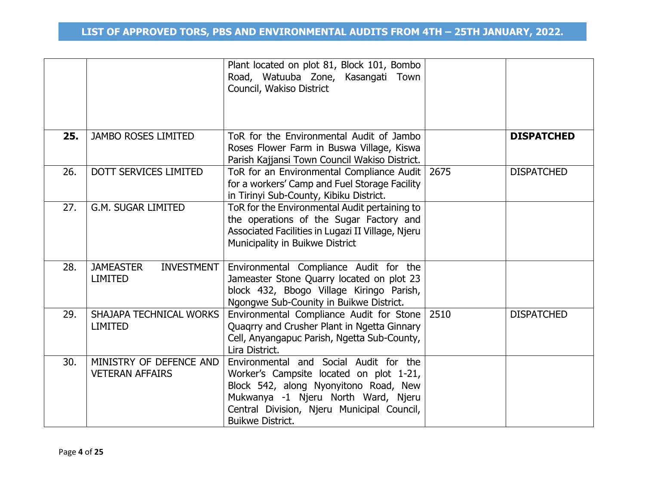|     |                                                         | Plant located on plot 81, Block 101, Bombo<br>Road, Watuuba Zone, Kasangati Town<br>Council, Wakiso District                                                                                                                               |      |                   |
|-----|---------------------------------------------------------|--------------------------------------------------------------------------------------------------------------------------------------------------------------------------------------------------------------------------------------------|------|-------------------|
| 25. | <b>JAMBO ROSES LIMITED</b>                              | ToR for the Environmental Audit of Jambo<br>Roses Flower Farm in Buswa Village, Kiswa<br>Parish Kajjansi Town Council Wakiso District.                                                                                                     |      | <b>DISPATCHED</b> |
| 26. | <b>DOTT SERVICES LIMITED</b>                            | ToR for an Environmental Compliance Audit   2675<br>for a workers' Camp and Fuel Storage Facility<br>in Tirinyi Sub-County, Kibiku District.                                                                                               |      | <b>DISPATCHED</b> |
| 27. | <b>G.M. SUGAR LIMITED</b>                               | ToR for the Environmental Audit pertaining to<br>the operations of the Sugar Factory and<br>Associated Facilities in Lugazi II Village, Njeru<br>Municipality in Buikwe District                                                           |      |                   |
| 28. | <b>JAMEASTER</b><br><b>INVESTMENT</b><br><b>LIMITED</b> | Environmental Compliance Audit for the<br>Jameaster Stone Quarry located on plot 23<br>block 432, Bbogo Village Kiringo Parish,<br>Ngongwe Sub-Counity in Buikwe District.                                                                 |      |                   |
| 29. | SHAJAPA TECHNICAL WORKS<br><b>LIMITED</b>               | Environmental Compliance Audit for Stone<br>Quagrry and Crusher Plant in Ngetta Ginnary<br>Cell, Anyangapuc Parish, Ngetta Sub-County,<br>Lira District.                                                                                   | 2510 | <b>DISPATCHED</b> |
| 30. | MINISTRY OF DEFENCE AND<br><b>VETERAN AFFAIRS</b>       | Environmental and Social Audit for the<br>Worker's Campsite located on plot 1-21,<br>Block 542, along Nyonyitono Road, New<br>Mukwanya -1 Njeru North Ward, Njeru<br>Central Division, Njeru Municipal Council,<br><b>Buikwe District.</b> |      |                   |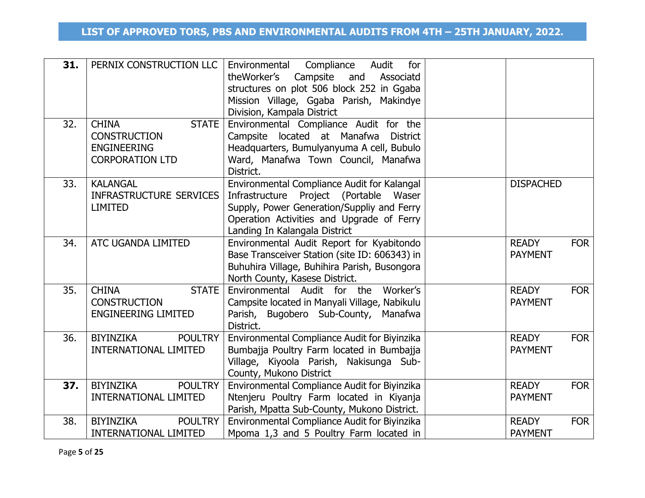| 31. | PERNIX CONSTRUCTION LLC                                                                             | Compliance<br>Environmental<br>Audit<br>for<br>theWorker's Campsite<br>and<br>Associatd<br>structures on plot 506 block 252 in Ggaba<br>Mission Village, Ggaba Parish, Makindye<br>Division, Kampala District     |                                |            |
|-----|-----------------------------------------------------------------------------------------------------|-------------------------------------------------------------------------------------------------------------------------------------------------------------------------------------------------------------------|--------------------------------|------------|
| 32. | <b>CHINA</b><br><b>STATE</b><br><b>CONSTRUCTION</b><br><b>ENGINEERING</b><br><b>CORPORATION LTD</b> | Environmental Compliance Audit for the<br>Campsite located at Manafwa District<br>Headquarters, Bumulyanyuma A cell, Bubulo<br>Ward, Manafwa Town Council, Manafwa<br>District.                                   |                                |            |
| 33. | <b>KALANGAL</b><br><b>INFRASTRUCTURE SERVICES</b><br><b>LIMITED</b>                                 | Environmental Compliance Audit for Kalangal<br>Infrastructure Project (Portable Waser<br>Supply, Power Generation/Suppliy and Ferry<br>Operation Activities and Upgrade of Ferry<br>Landing In Kalangala District | <b>DISPACHED</b>               |            |
| 34. | ATC UGANDA LIMITED                                                                                  | Environmental Audit Report for Kyabitondo<br>Base Transceiver Station (site ID: 606343) in<br>Buhuhira Village, Buhihira Parish, Busongora<br>North County, Kasese District.                                      | <b>READY</b><br><b>PAYMENT</b> | <b>FOR</b> |
| 35. | <b>CHINA</b><br><b>STATE</b><br><b>CONSTRUCTION</b><br><b>ENGINEERING LIMITED</b>                   | Environmental Audit for the Worker's<br>Campsite located in Manyali Village, Nabikulu<br>Parish, Bugobero Sub-County, Manafwa<br>District.                                                                        | <b>READY</b><br><b>PAYMENT</b> | <b>FOR</b> |
| 36. | <b>BIYINZIKA</b><br><b>POULTRY</b><br><b>INTERNATIONAL LIMITED</b>                                  | Environmental Compliance Audit for Biyinzika<br>Bumbajja Poultry Farm located in Bumbajja<br>Village, Kiyoola Parish, Nakisunga Sub-<br>County, Mukono District                                                   | <b>READY</b><br><b>PAYMENT</b> | <b>FOR</b> |
| 37. | BIYINZIKA<br><b>POULTRY</b><br><b>INTERNATIONAL LIMITED</b>                                         | Environmental Compliance Audit for Biyinzika<br>Ntenjeru Poultry Farm located in Kiyanja<br>Parish, Mpatta Sub-County, Mukono District.                                                                           | <b>READY</b><br><b>PAYMENT</b> | <b>FOR</b> |
| 38. | <b>BIYINZIKA</b><br><b>POULTRY</b><br><b>INTERNATIONAL LIMITED</b>                                  | Environmental Compliance Audit for Biyinzika<br>Mpoma 1,3 and 5 Poultry Farm located in                                                                                                                           | <b>READY</b><br><b>PAYMENT</b> | <b>FOR</b> |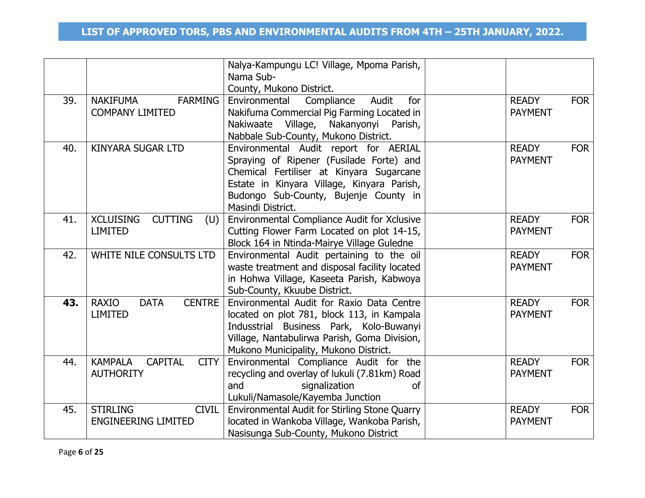|     |                                                                     | Nalya-Kampungu LC! Village, Mpoma Parish,<br>Nama Sub-                                                                                                                                                                                    |                                |            |
|-----|---------------------------------------------------------------------|-------------------------------------------------------------------------------------------------------------------------------------------------------------------------------------------------------------------------------------------|--------------------------------|------------|
| 39. | <b>NAKIFUMA</b><br><b>FARMING</b><br><b>COMPANY LIMITED</b>         | County, Mukono District.<br>Environmental<br>Audit<br>Compliance<br>for<br>Nakifuma Commercial Pig Farming Located in<br>Nakiwaate Village, Nakanyonyi Parish,<br>Nabbale Sub-County, Mukono District.                                    | <b>READY</b><br><b>PAYMENT</b> | <b>FOR</b> |
| 40. | <b>KINYARA SUGAR LTD</b>                                            | Environmental Audit report for AERIAL<br>Spraying of Ripener (Fusilade Forte) and<br>Chemical Fertiliser at Kinyara Sugarcane<br>Estate in Kinyara Village, Kinyara Parish,<br>Budongo Sub-County, Bujenje County in<br>Masindi District. | <b>READY</b><br><b>PAYMENT</b> | <b>FOR</b> |
| 41. | <b>XCLUISING</b><br><b>CUTTING</b><br>(U)<br><b>LIMITED</b>         | Environmental Compliance Audit for Xclusive<br>Cutting Flower Farm Located on plot 14-15,<br>Block 164 in Ntinda-Mairye Village Guledne                                                                                                   | <b>READY</b><br><b>PAYMENT</b> | <b>FOR</b> |
| 42. | WHITE NILE CONSULTS LTD                                             | Environmental Audit pertaining to the oil<br>waste treatment and disposal facility located<br>in Hohwa Village, Kaseeta Parish, Kabwoya<br>Sub-County, Kkuube District.                                                                   | <b>READY</b><br><b>PAYMENT</b> | <b>FOR</b> |
| 43. | <b>CENTRE</b><br><b>RAXIO</b><br><b>DATA</b><br><b>LIMITED</b>      | Environmental Audit for Raxio Data Centre<br>located on plot 781, block 113, in Kampala<br>Indusstrial Business Park, Kolo-Buwanyi<br>Village, Nantabulirwa Parish, Goma Division,<br>Mukono Municipality, Mukono District.               | <b>READY</b><br><b>PAYMENT</b> | <b>FOR</b> |
| 44. | <b>CITY</b><br><b>KAMPALA</b><br><b>CAPITAL</b><br><b>AUTHORITY</b> | Environmental Compliance Audit for the<br>recycling and overlay of lukuli (7.81km) Road<br>signalization<br>and<br><b>of</b><br>Lukuli/Namasole/Kayemba Junction                                                                          | <b>READY</b><br><b>PAYMENT</b> | <b>FOR</b> |
| 45. | <b>STIRLING</b><br><b>CIVIL</b><br><b>ENGINEERING LIMITED</b>       | Environmental Audit for Stirling Stone Quarry<br>located in Wankoba Village, Wankoba Parish,<br>Nasisunga Sub-County, Mukono District                                                                                                     | <b>READY</b><br><b>PAYMENT</b> | <b>FOR</b> |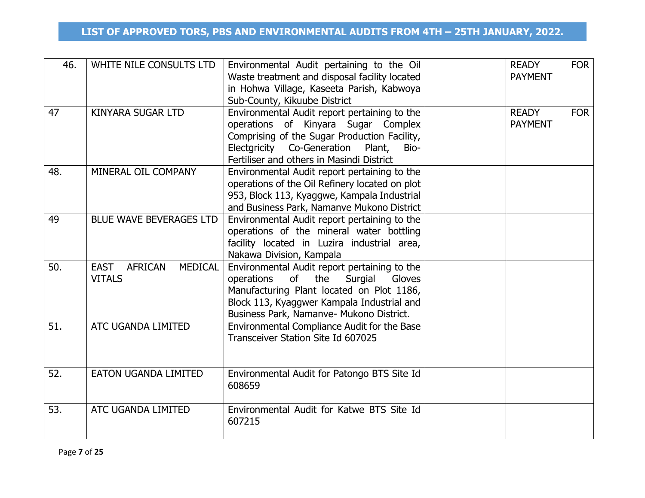| 46. | WHITE NILE CONSULTS LTD                                          | Environmental Audit pertaining to the Oil<br>Waste treatment and disposal facility located<br>in Hohwa Village, Kaseeta Parish, Kabwoya<br>Sub-County, Kikuube District                                                             | <b>READY</b><br><b>PAYMENT</b> | <b>FOR</b> |
|-----|------------------------------------------------------------------|-------------------------------------------------------------------------------------------------------------------------------------------------------------------------------------------------------------------------------------|--------------------------------|------------|
| 47  | <b>KINYARA SUGAR LTD</b>                                         | Environmental Audit report pertaining to the<br>operations of Kinyara Sugar Complex<br>Comprising of the Sugar Production Facility,<br>Electgricity Co-Generation Plant,<br>Bio-<br>Fertiliser and others in Masindi District       | <b>READY</b><br><b>PAYMENT</b> | <b>FOR</b> |
| 48. | MINERAL OIL COMPANY                                              | Environmental Audit report pertaining to the<br>operations of the Oil Refinery located on plot<br>953, Block 113, Kyaggwe, Kampala Industrial<br>and Business Park, Namanve Mukono District                                         |                                |            |
| 49  | <b>BLUE WAVE BEVERAGES LTD</b>                                   | Environmental Audit report pertaining to the<br>operations of the mineral water bottling<br>facility located in Luzira industrial area,<br>Nakawa Division, Kampala                                                                 |                                |            |
| 50. | <b>AFRICAN</b><br><b>MEDICAL</b><br><b>EAST</b><br><b>VITALS</b> | Environmental Audit report pertaining to the<br>of<br>the<br>Surgial<br>operations<br>Gloves<br>Manufacturing Plant located on Plot 1186,<br>Block 113, Kyaggwer Kampala Industrial and<br>Business Park, Namanve- Mukono District. |                                |            |
| 51. | ATC UGANDA LIMITED                                               | Environmental Compliance Audit for the Base<br>Transceiver Station Site Id 607025                                                                                                                                                   |                                |            |
| 52. | <b>EATON UGANDA LIMITED</b>                                      | Environmental Audit for Patongo BTS Site Id<br>608659                                                                                                                                                                               |                                |            |
| 53. | ATC UGANDA LIMITED                                               | Environmental Audit for Katwe BTS Site Id<br>607215                                                                                                                                                                                 |                                |            |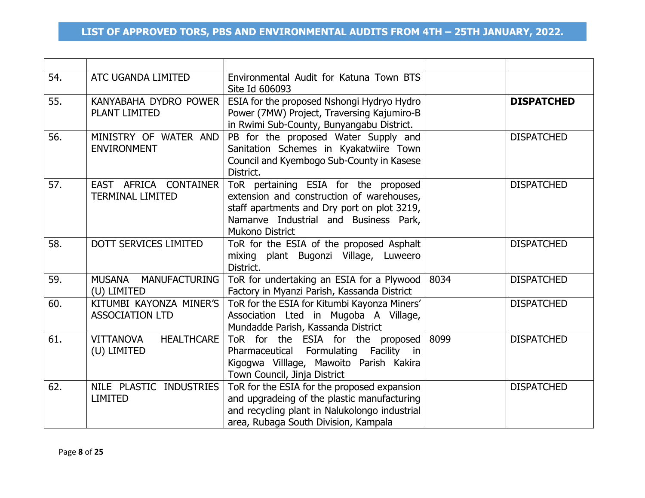| 54. | ATC UGANDA LIMITED                                   | Environmental Audit for Katuna Town BTS<br>Site Id 606093                                                                                                                                           |      |                   |
|-----|------------------------------------------------------|-----------------------------------------------------------------------------------------------------------------------------------------------------------------------------------------------------|------|-------------------|
| 55. | KANYABAHA DYDRO POWER<br>PLANT LIMITED               | ESIA for the proposed Nshongi Hydryo Hydro<br>Power (7MW) Project, Traversing Kajumiro-B<br>in Rwimi Sub-County, Bunyangabu District.                                                               |      | <b>DISPATCHED</b> |
| 56. | MINISTRY OF WATER AND<br><b>ENVIRONMENT</b>          | PB for the proposed Water Supply and<br>Sanitation Schemes in Kyakatwiire Town<br>Council and Kyembogo Sub-County in Kasese<br>District.                                                            |      | <b>DISPATCHED</b> |
| 57. | EAST AFRICA CONTAINER<br><b>TERMINAL LIMITED</b>     | ToR pertaining ESIA for the proposed<br>extension and construction of warehouses,<br>staff apartments and Dry port on plot 3219,<br>Namanve Industrial and Business Park,<br><b>Mukono District</b> |      | <b>DISPATCHED</b> |
| 58. | DOTT SERVICES LIMITED                                | ToR for the ESIA of the proposed Asphalt<br>mixing plant Bugonzi Village, Luweero<br>District.                                                                                                      |      | <b>DISPATCHED</b> |
| 59. | MUSANA MANUFACTURING<br>(U) LIMITED                  | ToR for undertaking an ESIA for a Plywood  <br>Factory in Myanzi Parish, Kassanda District                                                                                                          | 8034 | <b>DISPATCHED</b> |
| 60. | KITUMBI KAYONZA MINER'S<br><b>ASSOCIATION LTD</b>    | ToR for the ESIA for Kitumbi Kayonza Miners'<br>Association Lted in Mugoba A Village,<br>Mundadde Parish, Kassanda District                                                                         |      | <b>DISPATCHED</b> |
| 61. | <b>VITTANOVA</b><br><b>HEALTHCARE</b><br>(U) LIMITED | ToR for the ESIA for the proposed<br>Pharmaceutical Formulating Facility in<br>Kigogwa Villlage, Mawoito Parish Kakira<br>Town Council, Jinja District                                              | 8099 | <b>DISPATCHED</b> |
| 62. | NILE PLASTIC INDUSTRIES<br><b>LIMITED</b>            | ToR for the ESIA for the proposed expansion<br>and upgradeing of the plastic manufacturing<br>and recycling plant in Nalukolongo industrial<br>area, Rubaga South Division, Kampala                 |      | <b>DISPATCHED</b> |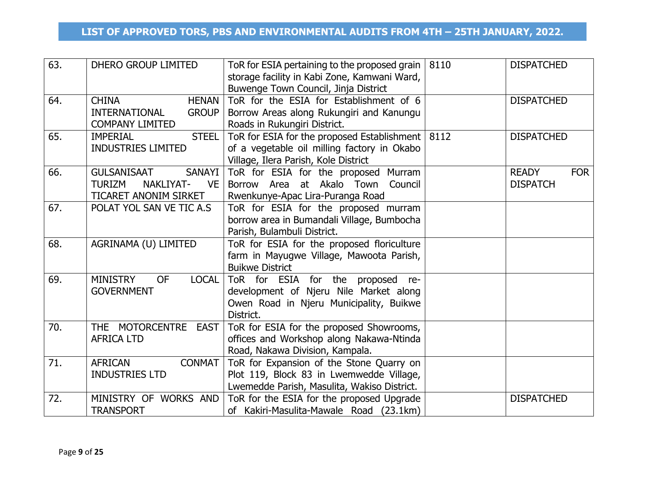| 63. | DHERO GROUP LIMITED                          | ToR for ESIA pertaining to the proposed grain<br>storage facility in Kabi Zone, Kamwani Ward,<br>Buwenge Town Council, Jinja District | 8110 | <b>DISPATCHED</b>          |
|-----|----------------------------------------------|---------------------------------------------------------------------------------------------------------------------------------------|------|----------------------------|
| 64. | <b>CHINA</b><br><b>HENAN</b>                 | ToR for the ESIA for Establishment of 6                                                                                               |      | <b>DISPATCHED</b>          |
|     | <b>INTERNATIONAL</b><br><b>GROUP</b>         | Borrow Areas along Rukungiri and Kanungu                                                                                              |      |                            |
|     | <b>COMPANY LIMITED</b>                       | Roads in Rukungiri District.                                                                                                          |      |                            |
| 65. | <b>STEEL</b><br><b>IMPERIAL</b>              | ToR for ESIA for the proposed Establishment   8112                                                                                    |      | <b>DISPATCHED</b>          |
|     | <b>INDUSTRIES LIMITED</b>                    | of a vegetable oil milling factory in Okabo                                                                                           |      |                            |
|     |                                              | Village, Ilera Parish, Kole District                                                                                                  |      |                            |
| 66. | <b>SANAYI</b><br><b>GULSANISAAT</b>          | ToR for ESIA for the proposed Murram                                                                                                  |      | <b>READY</b><br><b>FOR</b> |
|     | <b>TURIZM</b><br>NAKLIYAT-<br><b>VE</b>      | at Akalo Town<br>Borrow Area<br>Council                                                                                               |      | <b>DISPATCH</b>            |
|     | TICARET ANONIM SIRKET                        | Rwenkunye-Apac Lira-Puranga Road                                                                                                      |      |                            |
| 67. | POLAT YOL SAN VE TIC A.S                     | ToR for ESIA for the proposed murram                                                                                                  |      |                            |
|     |                                              | borrow area in Bumandali Village, Bumbocha                                                                                            |      |                            |
|     |                                              | Parish, Bulambuli District.                                                                                                           |      |                            |
| 68. | AGRINAMA (U) LIMITED                         | ToR for ESIA for the proposed floriculture                                                                                            |      |                            |
|     |                                              | farm in Mayugwe Village, Mawoota Parish,                                                                                              |      |                            |
|     |                                              | <b>Buikwe District</b>                                                                                                                |      |                            |
| 69. | <b>MINISTRY</b><br><b>OF</b><br><b>LOCAL</b> | ToR for ESIA for the proposed<br>re-                                                                                                  |      |                            |
|     | <b>GOVERNMENT</b>                            | development of Njeru Nile Market along                                                                                                |      |                            |
|     |                                              | Owen Road in Njeru Municipality, Buikwe                                                                                               |      |                            |
|     |                                              | District.                                                                                                                             |      |                            |
| 70. | THE MOTORCENTRE EAST                         | ToR for ESIA for the proposed Showrooms,                                                                                              |      |                            |
|     | <b>AFRICA LTD</b>                            | offices and Workshop along Nakawa-Ntinda                                                                                              |      |                            |
|     |                                              | Road, Nakawa Division, Kampala.                                                                                                       |      |                            |
| 71. | <b>CONMAT</b><br><b>AFRICAN</b>              | ToR for Expansion of the Stone Quarry on                                                                                              |      |                            |
|     | <b>INDUSTRIES LTD</b>                        | Plot 119, Block 83 in Lwemwedde Village,                                                                                              |      |                            |
|     |                                              | Lwemedde Parish, Masulita, Wakiso District.                                                                                           |      |                            |
| 72. | MINISTRY OF WORKS AND                        | ToR for the ESIA for the proposed Upgrade                                                                                             |      | <b>DISPATCHED</b>          |
|     | <b>TRANSPORT</b>                             | of Kakiri-Masulita-Mawale Road (23.1km)                                                                                               |      |                            |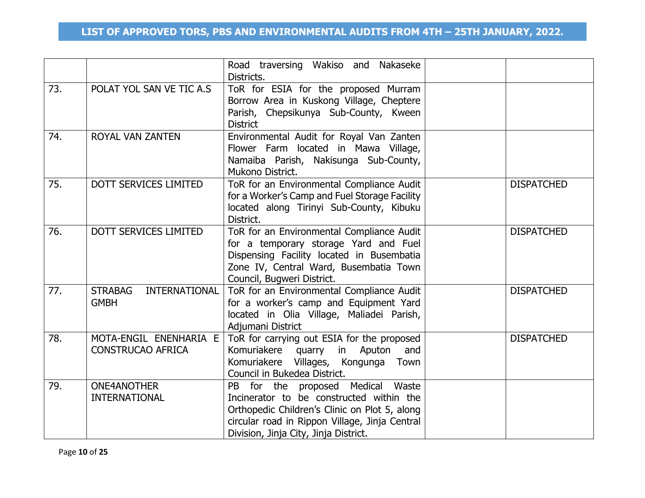|     |                                                    | Road traversing Wakiso and Nakaseke<br>Districts.                                                                                                                                                                         |                   |
|-----|----------------------------------------------------|---------------------------------------------------------------------------------------------------------------------------------------------------------------------------------------------------------------------------|-------------------|
| 73. | POLAT YOL SAN VE TIC A.S                           | ToR for ESIA for the proposed Murram<br>Borrow Area in Kuskong Village, Cheptere<br>Parish, Chepsikunya Sub-County, Kween<br><b>District</b>                                                                              |                   |
| 74. | ROYAL VAN ZANTEN                                   | Environmental Audit for Royal Van Zanten<br>Flower Farm located in Mawa Village,<br>Namaiba Parish, Nakisunga Sub-County,<br>Mukono District.                                                                             |                   |
| 75. | DOTT SERVICES LIMITED                              | ToR for an Environmental Compliance Audit<br>for a Worker's Camp and Fuel Storage Facility<br>located along Tirinyi Sub-County, Kibuku<br>District.                                                                       | <b>DISPATCHED</b> |
| 76. | <b>DOTT SERVICES LIMITED</b>                       | ToR for an Environmental Compliance Audit<br>for a temporary storage Yard and Fuel<br>Dispensing Facility located in Busembatia<br>Zone IV, Central Ward, Busembatia Town<br>Council, Bugweri District.                   | <b>DISPATCHED</b> |
| 77. | INTERNATIONAL<br><b>STRABAG</b><br><b>GMBH</b>     | ToR for an Environmental Compliance Audit<br>for a worker's camp and Equipment Yard<br>located in Olia Village, Maliadei Parish,<br>Adjumani District                                                                     | <b>DISPATCHED</b> |
| 78. | MOTA-ENGIL ENENHARIA E<br><b>CONSTRUCAO AFRICA</b> | ToR for carrying out ESIA for the proposed<br>Komuriakere quarry in Aputon<br>and<br>Komuriakere Villages, Kongunga Town<br>Council in Bukedea District.                                                                  | <b>DISPATCHED</b> |
| 79. | <b>ONE4ANOTHER</b><br><b>INTERNATIONAL</b>         | PB for the proposed Medical Waste<br>Incinerator to be constructed within the<br>Orthopedic Children's Clinic on Plot 5, along<br>circular road in Rippon Village, Jinja Central<br>Division, Jinja City, Jinja District. |                   |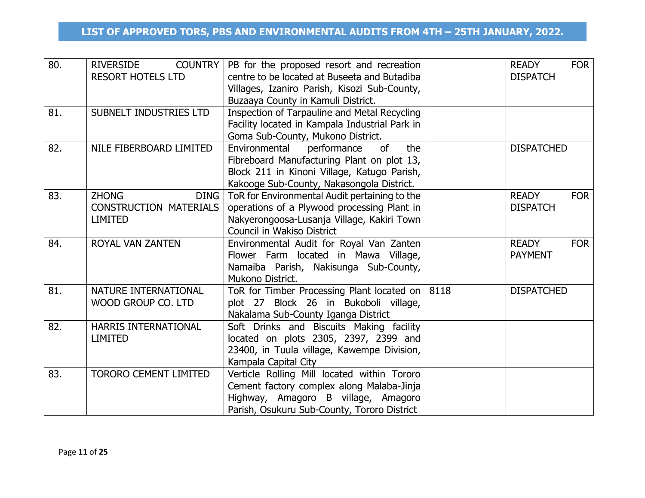| 80. | <b>RIVERSIDE</b><br><b>COUNTRY</b><br><b>RESORT HOTELS LTD</b>                 | PB for the proposed resort and recreation<br>centre to be located at Buseeta and Butadiba<br>Villages, Izaniro Parish, Kisozi Sub-County,<br>Buzaaya County in Kamuli District.     | <b>READY</b><br><b>FOR</b><br><b>DISPATCH</b> |
|-----|--------------------------------------------------------------------------------|-------------------------------------------------------------------------------------------------------------------------------------------------------------------------------------|-----------------------------------------------|
| 81. | SUBNELT INDUSTRIES LTD                                                         | Inspection of Tarpauline and Metal Recycling<br>Facility located in Kampala Industrial Park in<br>Goma Sub-County, Mukono District.                                                 |                                               |
| 82. | NILE FIBERBOARD LIMITED                                                        | Environmental<br>performance<br>of<br>the<br>Fibreboard Manufacturing Plant on plot 13,<br>Block 211 in Kinoni Village, Katugo Parish,<br>Kakooge Sub-County, Nakasongola District. | <b>DISPATCHED</b>                             |
| 83. | <b>ZHONG</b><br><b>DING</b><br><b>CONSTRUCTION MATERIALS</b><br><b>LIMITED</b> | ToR for Environmental Audit pertaining to the<br>operations of a Plywood processing Plant in<br>Nakyerongoosa-Lusanja Village, Kakiri Town<br>Council in Wakiso District            | <b>READY</b><br><b>FOR</b><br><b>DISPATCH</b> |
| 84. | <b>ROYAL VAN ZANTEN</b>                                                        | Environmental Audit for Royal Van Zanten<br>Flower Farm located in Mawa Village,<br>Namaiba Parish, Nakisunga Sub-County,<br>Mukono District.                                       | <b>READY</b><br><b>FOR</b><br><b>PAYMENT</b>  |
| 81. | NATURE INTERNATIONAL<br>WOOD GROUP CO. LTD                                     | ToR for Timber Processing Plant located on $ 8118\rangle$<br>plot 27 Block 26 in Bukoboli village,<br>Nakalama Sub-County Iganga District                                           | <b>DISPATCHED</b>                             |
| 82. | HARRIS INTERNATIONAL<br><b>LIMITED</b>                                         | Soft Drinks and Biscuits Making facility<br>located on plots 2305, 2397, 2399 and<br>23400, in Tuula village, Kawempe Division,<br>Kampala Capital City                             |                                               |
| 83. | <b>TORORO CEMENT LIMITED</b>                                                   | Verticle Rolling Mill located within Tororo<br>Cement factory complex along Malaba-Jinja<br>Highway, Amagoro B village, Amagoro<br>Parish, Osukuru Sub-County, Tororo District      |                                               |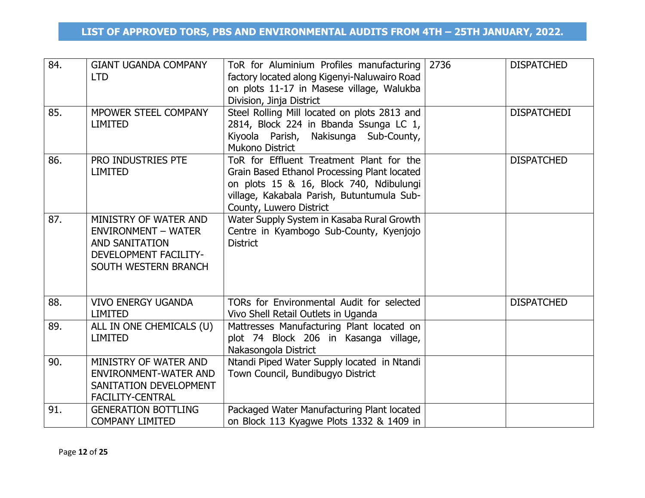| 84.<br>85. | <b>GIANT UGANDA COMPANY</b><br><b>LTD</b><br>MPOWER STEEL COMPANY                                                                    | ToR for Aluminium Profiles manufacturing<br>factory located along Kigenyi-Naluwairo Road<br>on plots 11-17 in Masese village, Walukba<br>Division, Jinja District<br>Steel Rolling Mill located on plots 2813 and | 2736 | <b>DISPATCHED</b><br><b>DISPATCHEDI</b> |
|------------|--------------------------------------------------------------------------------------------------------------------------------------|-------------------------------------------------------------------------------------------------------------------------------------------------------------------------------------------------------------------|------|-----------------------------------------|
|            | <b>LIMITED</b>                                                                                                                       | 2814, Block 224 in Bbanda Ssunga LC 1,<br>Kiyoola Parish, Nakisunga Sub-County,<br><b>Mukono District</b>                                                                                                         |      |                                         |
| 86.        | PRO INDUSTRIES PTE<br><b>LIMITED</b>                                                                                                 | ToR for Effluent Treatment Plant for the<br>Grain Based Ethanol Processing Plant located<br>on plots 15 & 16, Block 740, Ndibulungi<br>village, Kakabala Parish, Butuntumula Sub-<br>County, Luwero District      |      | <b>DISPATCHED</b>                       |
| 87.        | MINISTRY OF WATER AND<br><b>ENVIRONMENT - WATER</b><br><b>AND SANITATION</b><br><b>DEVELOPMENT FACILITY-</b><br>SOUTH WESTERN BRANCH | Water Supply System in Kasaba Rural Growth<br>Centre in Kyambogo Sub-County, Kyenjojo<br><b>District</b>                                                                                                          |      |                                         |
| 88.        | <b>VIVO ENERGY UGANDA</b><br><b>LIMITED</b>                                                                                          | TORs for Environmental Audit for selected<br>Vivo Shell Retail Outlets in Uganda                                                                                                                                  |      | <b>DISPATCHED</b>                       |
| 89.        | ALL IN ONE CHEMICALS (U)<br><b>LIMITED</b>                                                                                           | Mattresses Manufacturing Plant located on<br>plot 74 Block 206 in Kasanga village,<br>Nakasongola District                                                                                                        |      |                                         |
| 90.        | MINISTRY OF WATER AND<br><b>ENVIRONMENT-WATER AND</b><br>SANITATION DEVELOPMENT<br><b>FACILITY-CENTRAL</b>                           | Ntandi Piped Water Supply located in Ntandi<br>Town Council, Bundibugyo District                                                                                                                                  |      |                                         |
| 91.        | <b>GENERATION BOTTLING</b><br><b>COMPANY LIMITED</b>                                                                                 | Packaged Water Manufacturing Plant located<br>on Block 113 Kyagwe Plots 1332 & 1409 in                                                                                                                            |      |                                         |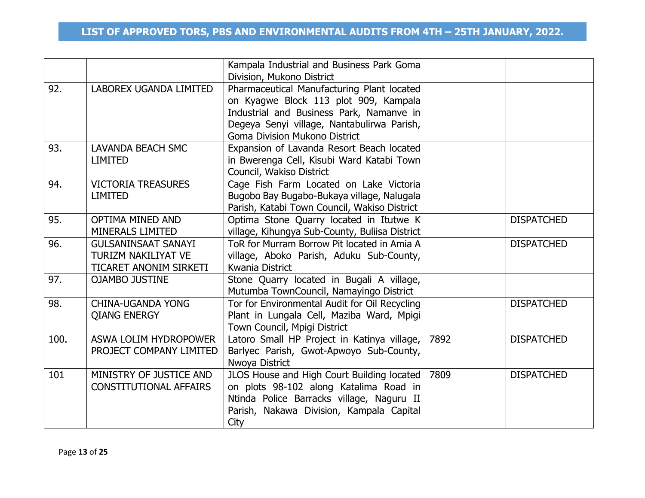|      |                                                                                    | Kampala Industrial and Business Park Goma<br>Division, Mukono District                                                                                                                                         |      |                   |
|------|------------------------------------------------------------------------------------|----------------------------------------------------------------------------------------------------------------------------------------------------------------------------------------------------------------|------|-------------------|
| 92.  | LABOREX UGANDA LIMITED                                                             | Pharmaceutical Manufacturing Plant located<br>on Kyagwe Block 113 plot 909, Kampala<br>Industrial and Business Park, Namanve in<br>Degeya Senyi village, Nantabulirwa Parish,<br>Goma Division Mukono District |      |                   |
| 93.  | <b>LAVANDA BEACH SMC</b><br><b>LIMITED</b>                                         | Expansion of Lavanda Resort Beach located<br>in Bwerenga Cell, Kisubi Ward Katabi Town<br>Council, Wakiso District                                                                                             |      |                   |
| 94.  | <b>VICTORIA TREASURES</b><br><b>LIMITED</b>                                        | Cage Fish Farm Located on Lake Victoria<br>Bugobo Bay Bugabo-Bukaya village, Nalugala<br>Parish, Katabi Town Council, Wakiso District                                                                          |      |                   |
| 95.  | <b>OPTIMA MINED AND</b><br><b>MINERALS LIMITED</b>                                 | Optima Stone Quarry located in Itutwe K<br>village, Kihungya Sub-County, Buliisa District                                                                                                                      |      | <b>DISPATCHED</b> |
| 96.  | <b>GULSANINSAAT SANAYI</b><br><b>TURIZM NAKILIYAT VE</b><br>TICARET ANONIM SIRKETI | ToR for Murram Borrow Pit located in Amia A<br>village, Aboko Parish, Aduku Sub-County,<br>Kwania District                                                                                                     |      | <b>DISPATCHED</b> |
| 97.  | <b>OJAMBO JUSTINE</b>                                                              | Stone Quarry located in Bugali A village,<br>Mutumba TownCouncil, Namayingo District                                                                                                                           |      |                   |
| 98.  | <b>CHINA-UGANDA YONG</b><br><b>QIANG ENERGY</b>                                    | Tor for Environmental Audit for Oil Recycling<br>Plant in Lungala Cell, Maziba Ward, Mpigi<br>Town Council, Mpigi District                                                                                     |      | <b>DISPATCHED</b> |
| 100. | ASWA LOLIM HYDROPOWER<br>PROJECT COMPANY LIMITED                                   | Latoro Small HP Project in Katinya village,<br>Barlyec Parish, Gwot-Apwoyo Sub-County,<br>Nwoya District                                                                                                       | 7892 | <b>DISPATCHED</b> |
| 101  | MINISTRY OF JUSTICE AND<br><b>CONSTITUTIONAL AFFAIRS</b>                           | JLOS House and High Court Building located<br>on plots 98-102 along Katalima Road in<br>Ntinda Police Barracks village, Naguru II<br>Parish, Nakawa Division, Kampala Capital<br>City                          | 7809 | <b>DISPATCHED</b> |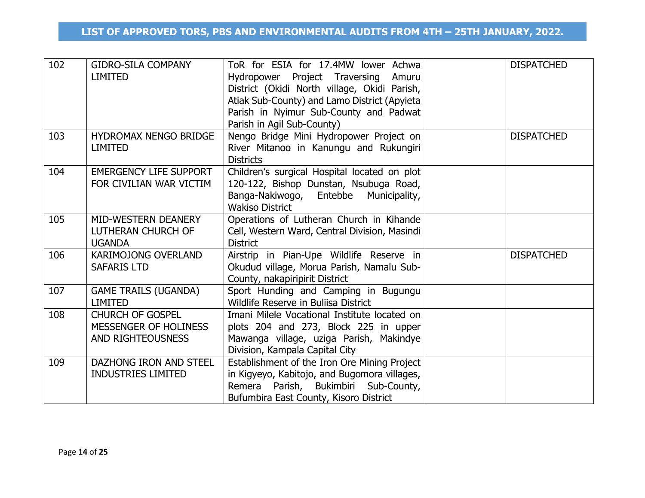| 102 | <b>GIDRO-SILA COMPANY</b><br><b>LIMITED</b>                                  | ToR for ESIA for 17.4MW lower Achwa<br>Project Traversing<br>Hydropower<br>Amuru<br>District (Okidi North village, Okidi Parish,<br>Atiak Sub-County) and Lamo District (Apyieta<br>Parish in Nyimur Sub-County and Padwat<br>Parish in Agil Sub-County) | <b>DISPATCHED</b> |  |
|-----|------------------------------------------------------------------------------|----------------------------------------------------------------------------------------------------------------------------------------------------------------------------------------------------------------------------------------------------------|-------------------|--|
| 103 | HYDROMAX NENGO BRIDGE<br><b>LIMITED</b>                                      | Nengo Bridge Mini Hydropower Project on<br>River Mitanoo in Kanungu and Rukungiri<br><b>Districts</b>                                                                                                                                                    | <b>DISPATCHED</b> |  |
| 104 | <b>EMERGENCY LIFE SUPPORT</b><br>FOR CIVILIAN WAR VICTIM                     | Children's surgical Hospital located on plot<br>120-122, Bishop Dunstan, Nsubuga Road,<br>Banga-Nakiwogo, Entebbe Municipality,<br><b>Wakiso District</b>                                                                                                |                   |  |
| 105 | MID-WESTERN DEANERY<br>LUTHERAN CHURCH OF<br><b>UGANDA</b>                   | Operations of Lutheran Church in Kihande<br>Cell, Western Ward, Central Division, Masindi<br><b>District</b>                                                                                                                                             |                   |  |
| 106 | <b>KARIMOJONG OVERLAND</b><br><b>SAFARIS LTD</b>                             | Airstrip in Pian-Upe Wildlife Reserve in<br>Okudud village, Morua Parish, Namalu Sub-<br>County, nakapiripirit District                                                                                                                                  | <b>DISPATCHED</b> |  |
| 107 | <b>GAME TRAILS (UGANDA)</b><br><b>LIMITED</b>                                | Sport Hunding and Camping in Bugungu<br>Wildlife Reserve in Buliisa District                                                                                                                                                                             |                   |  |
| 108 | <b>CHURCH OF GOSPEL</b><br>MESSENGER OF HOLINESS<br><b>AND RIGHTEOUSNESS</b> | Imani Milele Vocational Institute located on<br>plots 204 and 273, Block 225 in upper<br>Mawanga village, uziga Parish, Makindye<br>Division, Kampala Capital City                                                                                       |                   |  |
| 109 | DAZHONG IRON AND STEEL<br><b>INDUSTRIES LIMITED</b>                          | Establishment of the Iron Ore Mining Project<br>in Kigyeyo, Kabitojo, and Bugomora villages,<br>Remera Parish, Bukimbiri Sub-County,<br>Bufumbira East County, Kisoro District                                                                           |                   |  |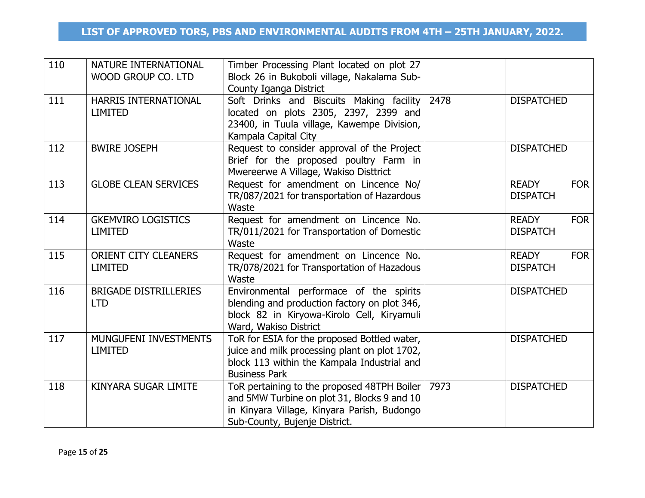| 110 | NATURE INTERNATIONAL<br>WOOD GROUP CO. LTD    | Timber Processing Plant located on plot 27<br>Block 26 in Bukoboli village, Nakalama Sub-<br>County Iganga District                                                        |      |                                               |
|-----|-----------------------------------------------|----------------------------------------------------------------------------------------------------------------------------------------------------------------------------|------|-----------------------------------------------|
| 111 | HARRIS INTERNATIONAL<br><b>LIMITED</b>        | Soft Drinks and Biscuits Making facility 2478<br>located on plots 2305, 2397, 2399 and<br>23400, in Tuula village, Kawempe Division,<br>Kampala Capital City               |      | <b>DISPATCHED</b>                             |
| 112 | <b>BWIRE JOSEPH</b>                           | Request to consider approval of the Project<br>Brief for the proposed poultry Farm in<br>Mwereerwe A Village, Wakiso Disttrict                                             |      | <b>DISPATCHED</b>                             |
| 113 | <b>GLOBE CLEAN SERVICES</b>                   | Request for amendment on Lincence No/<br>TR/087/2021 for transportation of Hazardous<br>Waste                                                                              |      | <b>READY</b><br><b>FOR</b><br><b>DISPATCH</b> |
| 114 | <b>GKEMVIRO LOGISTICS</b><br><b>LIMITED</b>   | Request for amendment on Lincence No.<br>TR/011/2021 for Transportation of Domestic<br>Waste                                                                               |      | <b>FOR</b><br><b>READY</b><br><b>DISPATCH</b> |
| 115 | <b>ORIENT CITY CLEANERS</b><br><b>LIMITED</b> | Request for amendment on Lincence No.<br>TR/078/2021 for Transportation of Hazadous<br>Waste                                                                               |      | <b>FOR</b><br><b>READY</b><br><b>DISPATCH</b> |
| 116 | <b>BRIGADE DISTRILLERIES</b><br><b>LTD</b>    | Environmental performace of the spirits<br>blending and production factory on plot 346,<br>block 82 in Kiryowa-Kirolo Cell, Kiryamuli<br>Ward, Wakiso District             |      | <b>DISPATCHED</b>                             |
| 117 | MUNGUFENI INVESTMENTS<br><b>LIMITED</b>       | ToR for ESIA for the proposed Bottled water,<br>juice and milk processing plant on plot 1702,<br>block 113 within the Kampala Industrial and<br><b>Business Park</b>       |      | <b>DISPATCHED</b>                             |
| 118 | KINYARA SUGAR LIMITE                          | ToR pertaining to the proposed 48TPH Boiler<br>and 5MW Turbine on plot 31, Blocks 9 and 10<br>in Kinyara Village, Kinyara Parish, Budongo<br>Sub-County, Bujenje District. | 7973 | <b>DISPATCHED</b>                             |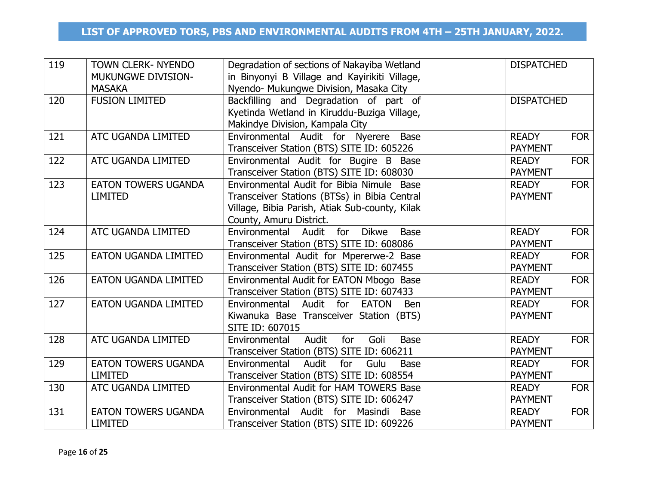| 119 | TOWN CLERK- NYENDO<br><b>MUKUNGWE DIVISION-</b><br><b>MASAKA</b> | Degradation of sections of Nakayiba Wetland<br>in Binyonyi B Village and Kayirikiti Village,<br>Nyendo- Mukungwe Division, Masaka City                                 | <b>DISPATCHED</b>              |            |
|-----|------------------------------------------------------------------|------------------------------------------------------------------------------------------------------------------------------------------------------------------------|--------------------------------|------------|
| 120 | <b>FUSION LIMITED</b>                                            | Backfilling and Degradation of part of<br>Kyetinda Wetland in Kiruddu-Buziga Village,<br>Makindye Division, Kampala City                                               | <b>DISPATCHED</b>              |            |
| 121 | ATC UGANDA LIMITED                                               | Environmental Audit for Nyerere Base<br>Transceiver Station (BTS) SITE ID: 605226                                                                                      | <b>READY</b><br><b>PAYMENT</b> | <b>FOR</b> |
| 122 | ATC UGANDA LIMITED                                               | Environmental Audit for Bugire B Base<br>Transceiver Station (BTS) SITE ID: 608030                                                                                     | <b>READY</b><br><b>PAYMENT</b> | <b>FOR</b> |
| 123 | <b>EATON TOWERS UGANDA</b><br><b>LIMITED</b>                     | Environmental Audit for Bibia Nimule Base<br>Transceiver Stations (BTSs) in Bibia Central<br>Village, Bibia Parish, Atiak Sub-county, Kilak<br>County, Amuru District. | <b>READY</b><br><b>PAYMENT</b> | <b>FOR</b> |
| 124 | ATC UGANDA LIMITED                                               | Environmental Audit for<br><b>Dikwe</b><br><b>Base</b><br>Transceiver Station (BTS) SITE ID: 608086                                                                    | <b>READY</b><br><b>PAYMENT</b> | <b>FOR</b> |
| 125 | <b>EATON UGANDA LIMITED</b>                                      | Environmental Audit for Mpererwe-2 Base<br>Transceiver Station (BTS) SITE ID: 607455                                                                                   | <b>READY</b><br><b>PAYMENT</b> | <b>FOR</b> |
| 126 | <b>EATON UGANDA LIMITED</b>                                      | Environmental Audit for EATON Mbogo Base<br>Transceiver Station (BTS) SITE ID: 607433                                                                                  | <b>READY</b><br><b>PAYMENT</b> | <b>FOR</b> |
| 127 | <b>EATON UGANDA LIMITED</b>                                      | Environmental Audit for EATON<br><b>Ben</b><br>Kiwanuka Base Transceiver Station (BTS)<br>SITE ID: 607015                                                              | <b>READY</b><br><b>PAYMENT</b> | <b>FOR</b> |
| 128 | ATC UGANDA LIMITED                                               | Audit<br>for<br>Goli<br>Environmental<br><b>Base</b><br>Transceiver Station (BTS) SITE ID: 606211                                                                      | <b>READY</b><br><b>PAYMENT</b> | <b>FOR</b> |
| 129 | <b>EATON TOWERS UGANDA</b><br><b>LIMITED</b>                     | Audit<br>Environmental<br>for<br>Gulu<br><b>Base</b><br>Transceiver Station (BTS) SITE ID: 608554                                                                      | <b>READY</b><br><b>PAYMENT</b> | <b>FOR</b> |
| 130 | ATC UGANDA LIMITED                                               | Environmental Audit for HAM TOWERS Base<br>Transceiver Station (BTS) SITE ID: 606247                                                                                   | <b>READY</b><br><b>PAYMENT</b> | <b>FOR</b> |
| 131 | <b>EATON TOWERS UGANDA</b><br><b>LIMITED</b>                     | Audit for Masindi<br>Environmental<br><b>Base</b><br>Transceiver Station (BTS) SITE ID: 609226                                                                         | <b>READY</b><br><b>PAYMENT</b> | <b>FOR</b> |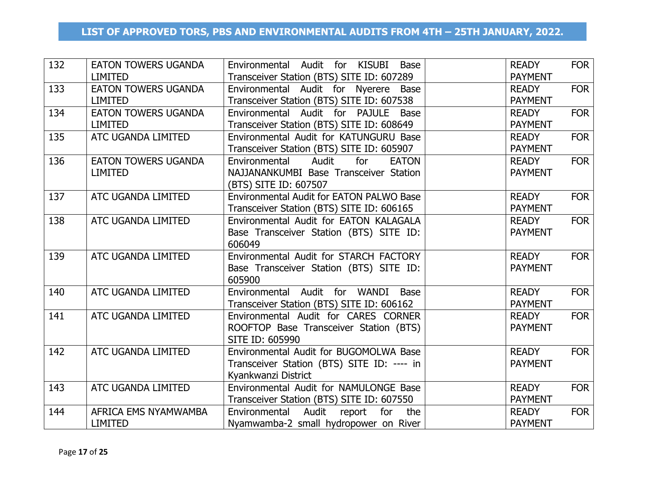| 132 | <b>EATON TOWERS UGANDA</b> | Environmental Audit for KISUBI<br>Base        | <b>READY</b>   | <b>FOR</b> |
|-----|----------------------------|-----------------------------------------------|----------------|------------|
|     | <b>LIMITED</b>             | Transceiver Station (BTS) SITE ID: 607289     | <b>PAYMENT</b> |            |
| 133 | <b>EATON TOWERS UGANDA</b> | Environmental Audit for Nyerere Base          | <b>READY</b>   | <b>FOR</b> |
|     | <b>LIMITED</b>             | Transceiver Station (BTS) SITE ID: 607538     | <b>PAYMENT</b> |            |
| 134 | <b>EATON TOWERS UGANDA</b> | Environmental Audit for PAJULE Base           | <b>READY</b>   | <b>FOR</b> |
|     | <b>LIMITED</b>             | Transceiver Station (BTS) SITE ID: 608649     | <b>PAYMENT</b> |            |
| 135 | ATC UGANDA LIMITED         | Environmental Audit for KATUNGURU Base        | <b>READY</b>   | <b>FOR</b> |
|     |                            | Transceiver Station (BTS) SITE ID: 605907     | <b>PAYMENT</b> |            |
| 136 | <b>EATON TOWERS UGANDA</b> | Environmental<br>Audit<br>for<br><b>EATON</b> | <b>READY</b>   | <b>FOR</b> |
|     | <b>LIMITED</b>             | NAJJANANKUMBI Base Transceiver Station        | <b>PAYMENT</b> |            |
|     |                            | (BTS) SITE ID: 607507                         |                |            |
| 137 | ATC UGANDA LIMITED         | Environmental Audit for EATON PALWO Base      | <b>READY</b>   | <b>FOR</b> |
|     |                            | Transceiver Station (BTS) SITE ID: 606165     | <b>PAYMENT</b> |            |
| 138 | ATC UGANDA LIMITED         | Environmental Audit for EATON KALAGALA        | <b>READY</b>   | <b>FOR</b> |
|     |                            | Base Transceiver Station (BTS) SITE ID:       | <b>PAYMENT</b> |            |
|     |                            | 606049                                        |                |            |
| 139 | ATC UGANDA LIMITED         | Environmental Audit for STARCH FACTORY        | <b>READY</b>   | <b>FOR</b> |
|     |                            | Base Transceiver Station (BTS) SITE ID:       | <b>PAYMENT</b> |            |
|     |                            | 605900                                        |                |            |
| 140 | ATC UGANDA LIMITED         | Environmental Audit for WANDI Base            | <b>READY</b>   | <b>FOR</b> |
|     |                            | Transceiver Station (BTS) SITE ID: 606162     | <b>PAYMENT</b> |            |
| 141 | ATC UGANDA LIMITED         | Environmental Audit for CARES CORNER          | <b>READY</b>   | <b>FOR</b> |
|     |                            | ROOFTOP Base Transceiver Station (BTS)        | <b>PAYMENT</b> |            |
|     |                            | SITE ID: 605990                               |                |            |
| 142 | ATC UGANDA LIMITED         | Environmental Audit for BUGOMOLWA Base        | <b>READY</b>   | <b>FOR</b> |
|     |                            | Transceiver Station (BTS) SITE ID: ---- in    | <b>PAYMENT</b> |            |
|     |                            | Kyankwanzi District                           |                |            |
| 143 | ATC UGANDA LIMITED         | Environmental Audit for NAMULONGE Base        | <b>READY</b>   | <b>FOR</b> |
|     |                            | Transceiver Station (BTS) SITE ID: 607550     | <b>PAYMENT</b> |            |
| 144 | AFRICA EMS NYAMWAMBA       | Audit report<br>Environmental<br>for<br>the   | <b>READY</b>   | <b>FOR</b> |
|     | <b>LIMITED</b>             | Nyamwamba-2 small hydropower on River         | <b>PAYMENT</b> |            |
|     |                            |                                               |                |            |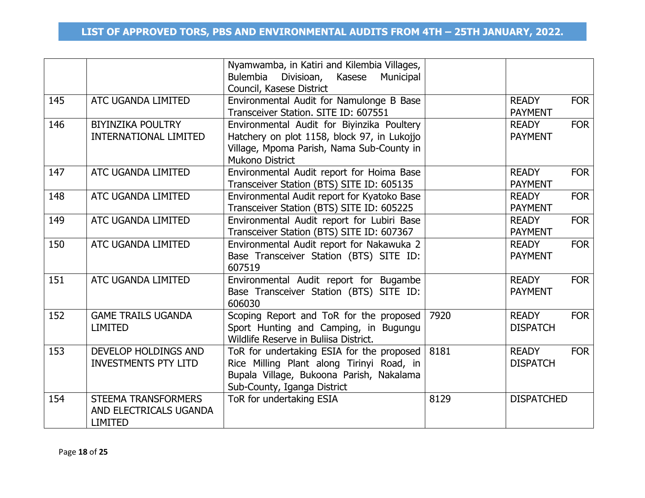|     |                                                                 | Nyamwamba, in Katiri and Kilembia Villages,<br>Bulembia<br>Kasese<br>Divisioan,<br>Municipal<br>Council, Kasese District                                          |      |                                               |
|-----|-----------------------------------------------------------------|-------------------------------------------------------------------------------------------------------------------------------------------------------------------|------|-----------------------------------------------|
| 145 | ATC UGANDA LIMITED                                              | Environmental Audit for Namulonge B Base<br>Transceiver Station. SITE ID: 607551                                                                                  |      | <b>FOR</b><br><b>READY</b><br><b>PAYMENT</b>  |
| 146 | <b>BIYINZIKA POULTRY</b><br><b>INTERNATIONAL LIMITED</b>        | Environmental Audit for Biyinzika Poultery<br>Hatchery on plot 1158, block 97, in Lukojjo<br>Village, Mpoma Parish, Nama Sub-County in<br><b>Mukono District</b>  |      | <b>FOR</b><br><b>READY</b><br><b>PAYMENT</b>  |
| 147 | ATC UGANDA LIMITED                                              | Environmental Audit report for Hoima Base<br>Transceiver Station (BTS) SITE ID: 605135                                                                            |      | <b>READY</b><br><b>FOR</b><br><b>PAYMENT</b>  |
| 148 | ATC UGANDA LIMITED                                              | Environmental Audit report for Kyatoko Base<br>Transceiver Station (BTS) SITE ID: 605225                                                                          |      | <b>FOR</b><br><b>READY</b><br><b>PAYMENT</b>  |
| 149 | ATC UGANDA LIMITED                                              | Environmental Audit report for Lubiri Base<br>Transceiver Station (BTS) SITE ID: 607367                                                                           |      | <b>FOR</b><br><b>READY</b><br><b>PAYMENT</b>  |
| 150 | ATC UGANDA LIMITED                                              | Environmental Audit report for Nakawuka 2<br>Base Transceiver Station (BTS) SITE ID:<br>607519                                                                    |      | <b>FOR</b><br><b>READY</b><br><b>PAYMENT</b>  |
| 151 | ATC UGANDA LIMITED                                              | Environmental Audit report for Bugambe<br>Base Transceiver Station (BTS) SITE ID:<br>606030                                                                       |      | <b>FOR</b><br><b>READY</b><br><b>PAYMENT</b>  |
| 152 | <b>GAME TRAILS UGANDA</b><br><b>LIMITED</b>                     | Scoping Report and ToR for the proposed<br>Sport Hunting and Camping, in Bugungu<br>Wildlife Reserve in Buliisa District.                                         | 7920 | <b>READY</b><br><b>FOR</b><br><b>DISPATCH</b> |
| 153 | <b>DEVELOP HOLDINGS AND</b><br><b>INVESTMENTS PTY LITD</b>      | ToR for undertaking ESIA for the proposed<br>Rice Milling Plant along Tirinyi Road, in<br>Bupala Village, Bukoona Parish, Nakalama<br>Sub-County, Iganga District | 8181 | <b>FOR</b><br><b>READY</b><br><b>DISPATCH</b> |
| 154 | STEEMA TRANSFORMERS<br>AND ELECTRICALS UGANDA<br><b>LIMITED</b> | ToR for undertaking ESIA                                                                                                                                          | 8129 | <b>DISPATCHED</b>                             |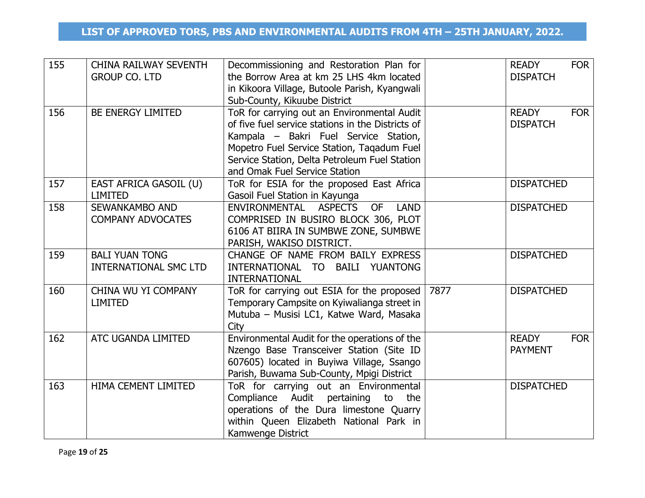| 155 | <b>CHINA RAILWAY SEVENTH</b><br><b>GROUP CO. LTD</b>  | Decommissioning and Restoration Plan for<br>the Borrow Area at km 25 LHS 4km located<br>in Kikoora Village, Butoole Parish, Kyangwali<br>Sub-County, Kikuube District                                                                                                     |      | <b>READY</b><br><b>FOR</b><br><b>DISPATCH</b> |
|-----|-------------------------------------------------------|---------------------------------------------------------------------------------------------------------------------------------------------------------------------------------------------------------------------------------------------------------------------------|------|-----------------------------------------------|
| 156 | BE ENERGY LIMITED                                     | ToR for carrying out an Environmental Audit<br>of five fuel service stations in the Districts of<br>Kampala – Bakri Fuel Service Station,<br>Mopetro Fuel Service Station, Tagadum Fuel<br>Service Station, Delta Petroleum Fuel Station<br>and Omak Fuel Service Station |      | <b>READY</b><br><b>FOR</b><br><b>DISPATCH</b> |
| 157 | EAST AFRICA GASOIL (U)<br><b>LIMITED</b>              | ToR for ESIA for the proposed East Africa<br>Gasoil Fuel Station in Kayunga                                                                                                                                                                                               |      | <b>DISPATCHED</b>                             |
| 158 | SEWANKAMBO AND<br><b>COMPANY ADVOCATES</b>            | <b>ASPECTS</b><br><b>OF</b><br><b>LAND</b><br>ENVIRONMENTAL<br>COMPRISED IN BUSIRO BLOCK 306, PLOT<br>6106 AT BIIRA IN SUMBWE ZONE, SUMBWE<br>PARISH, WAKISO DISTRICT.                                                                                                    |      | <b>DISPATCHED</b>                             |
| 159 | <b>BALI YUAN TONG</b><br><b>INTERNATIONAL SMC LTD</b> | CHANGE OF NAME FROM BAILY EXPRESS<br>INTERNATIONAL TO BAILI YUANTONG<br><b>INTERNATIONAL</b>                                                                                                                                                                              |      | <b>DISPATCHED</b>                             |
| 160 | CHINA WU YI COMPANY<br><b>LIMITED</b>                 | ToR for carrying out ESIA for the proposed<br>Temporary Campsite on Kyiwalianga street in<br>Mutuba - Musisi LC1, Katwe Ward, Masaka<br>City                                                                                                                              | 7877 | <b>DISPATCHED</b>                             |
| 162 | ATC UGANDA LIMITED                                    | Environmental Audit for the operations of the<br>Nzengo Base Transceiver Station (Site ID<br>607605) located in Buyiwa Village, Ssango<br>Parish, Buwama Sub-County, Mpigi District                                                                                       |      | <b>READY</b><br><b>FOR</b><br><b>PAYMENT</b>  |
| 163 | HIMA CEMENT LIMITED                                   | ToR for carrying out an Environmental<br>Compliance Audit pertaining to the<br>operations of the Dura limestone Quarry<br>within Queen Elizabeth National Park in<br>Kamwenge District                                                                                    |      | <b>DISPATCHED</b>                             |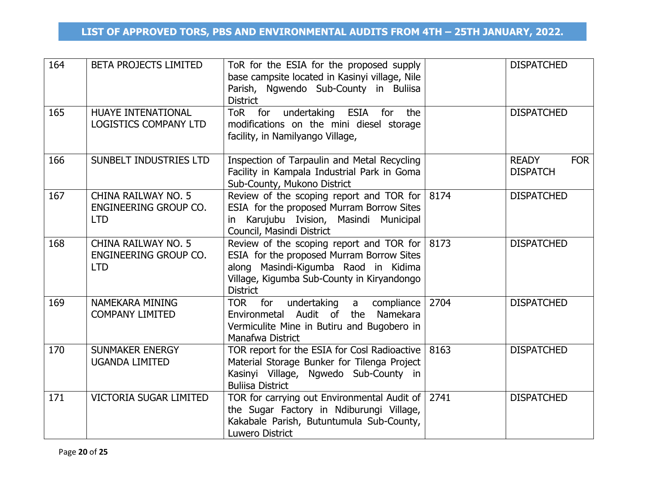| 164 | <b>BETA PROJECTS LIMITED</b>                               | ToR for the ESIA for the proposed supply<br>base campsite located in Kasinyi village, Nile<br>Parish, Ngwendo Sub-County in Buliisa<br><b>District</b>                                                        |      | <b>DISPATCHED</b>                             |
|-----|------------------------------------------------------------|---------------------------------------------------------------------------------------------------------------------------------------------------------------------------------------------------------------|------|-----------------------------------------------|
| 165 | HUAYE INTENATIONAL<br><b>LOGISTICS COMPANY LTD</b>         | ToR for undertaking ESIA for<br>the<br>modifications on the mini diesel storage<br>facility, in Namilyango Village,                                                                                           |      | <b>DISPATCHED</b>                             |
| 166 | SUNBELT INDUSTRIES LTD                                     | Inspection of Tarpaulin and Metal Recycling<br>Facility in Kampala Industrial Park in Goma<br>Sub-County, Mukono District                                                                                     |      | <b>READY</b><br><b>FOR</b><br><b>DISPATCH</b> |
| 167 | CHINA RAILWAY NO. 5<br>ENGINEERING GROUP CO.<br><b>LTD</b> | Review of the scoping report and TOR for $ 8174 $<br>ESIA for the proposed Murram Borrow Sites<br>in Karujubu Ivision, Masindi Municipal<br>Council, Masindi District                                         |      | <b>DISPATCHED</b>                             |
| 168 | CHINA RAILWAY NO. 5<br>ENGINEERING GROUP CO.<br><b>LTD</b> | Review of the scoping report and TOR for $ 8173\rangle$<br>ESIA for the proposed Murram Borrow Sites<br>along Masindi-Kigumba Raod in Kidima<br>Village, Kigumba Sub-County in Kiryandongo<br><b>District</b> |      | <b>DISPATCHED</b>                             |
| 169 | NAMEKARA MINING<br><b>COMPANY LIMITED</b>                  | TOR for<br>undertaking<br>compliance<br>a<br>Audit of<br>Namekara<br>Environmetal<br>the<br>Vermiculite Mine in Butiru and Bugobero in<br>Manafwa District                                                    | 2704 | <b>DISPATCHED</b>                             |
| 170 | <b>SUNMAKER ENERGY</b><br><b>UGANDA LIMITED</b>            | TOR report for the ESIA for Cosl Radioactive   8163<br>Material Storage Bunker for Tilenga Project<br>Kasinyi Village, Ngwedo Sub-County in<br><b>Buliisa District</b>                                        |      | <b>DISPATCHED</b>                             |
| 171 | <b>VICTORIA SUGAR LIMITED</b>                              | TOR for carrying out Environmental Audit of 2741<br>the Sugar Factory in Ndiburungi Village,<br>Kakabale Parish, Butuntumula Sub-County,<br>Luwero District                                                   |      | <b>DISPATCHED</b>                             |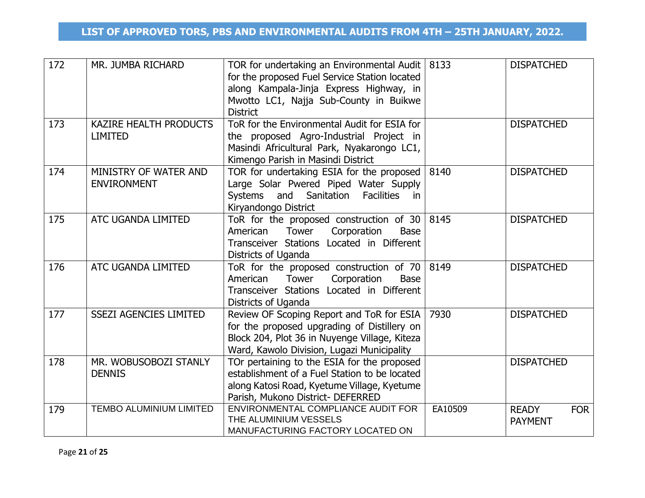| 172 | MR. JUMBA RICHARD                               | TOR for undertaking an Environmental Audit   8133<br>for the proposed Fuel Service Station located<br>along Kampala-Jinja Express Highway, in<br>Mwotto LC1, Najja Sub-County in Buikwe<br><b>District</b> |         | <b>DISPATCHED</b>                            |
|-----|-------------------------------------------------|------------------------------------------------------------------------------------------------------------------------------------------------------------------------------------------------------------|---------|----------------------------------------------|
| 173 | <b>KAZIRE HEALTH PRODUCTS</b><br><b>LIMITED</b> | ToR for the Environmental Audit for ESIA for<br>the proposed Agro-Industrial Project in<br>Masindi Africultural Park, Nyakarongo LC1,<br>Kimengo Parish in Masindi District                                |         | <b>DISPATCHED</b>                            |
| 174 | MINISTRY OF WATER AND<br><b>ENVIRONMENT</b>     | TOR for undertaking ESIA for the proposed<br>Large Solar Pwered Piped Water Supply<br>and<br>Sanitation<br><b>Facilities</b><br>Systems<br>in<br>Kiryandongo District                                      | 8140    | <b>DISPATCHED</b>                            |
| 175 | ATC UGANDA LIMITED                              | ToR for the proposed construction of 30<br>Tower<br>Corporation<br>American<br>Base<br>Transceiver Stations Located in Different<br>Districts of Uganda                                                    | 8145    | <b>DISPATCHED</b>                            |
| 176 | ATC UGANDA LIMITED                              | ToR for the proposed construction of 70 $ 8149\rangle$<br>Corporation<br>Tower<br>American<br><b>Base</b><br>Transceiver Stations Located in Different<br>Districts of Uganda                              |         | <b>DISPATCHED</b>                            |
| 177 | <b>SSEZI AGENCIES LIMITED</b>                   | Review OF Scoping Report and ToR for ESIA<br>for the proposed upgrading of Distillery on<br>Block 204, Plot 36 in Nuyenge Village, Kiteza<br>Ward, Kawolo Division, Lugazi Municipality                    | 7930    | <b>DISPATCHED</b>                            |
| 178 | MR. WOBUSOBOZI STANLY<br><b>DENNIS</b>          | TOr pertaining to the ESIA for the proposed<br>establishment of a Fuel Station to be located<br>along Katosi Road, Kyetume Village, Kyetume<br>Parish, Mukono District- DEFERRED                           |         | <b>DISPATCHED</b>                            |
| 179 | <b>TEMBO ALUMINIUM LIMITED</b>                  | ENVIRONMENTAL COMPLIANCE AUDIT FOR<br>THE ALUMINIUM VESSELS<br>MANUFACTURING FACTORY LOCATED ON                                                                                                            | EA10509 | <b>READY</b><br><b>FOR</b><br><b>PAYMENT</b> |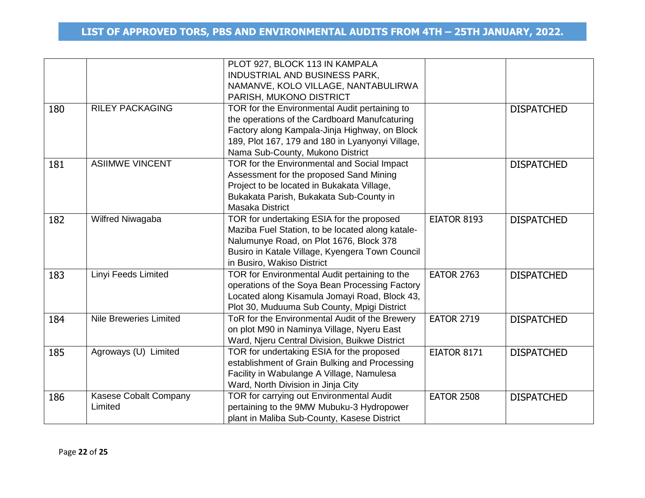|     |                               | PLOT 927, BLOCK 113 IN KAMPALA                   |                    |                   |
|-----|-------------------------------|--------------------------------------------------|--------------------|-------------------|
|     |                               | INDUSTRIAL AND BUSINESS PARK,                    |                    |                   |
|     |                               | NAMANVE, KOLO VILLAGE, NANTABULIRWA              |                    |                   |
|     |                               | PARISH, MUKONO DISTRICT                          |                    |                   |
| 180 | <b>RILEY PACKAGING</b>        | TOR for the Environmental Audit pertaining to    |                    | <b>DISPATCHED</b> |
|     |                               | the operations of the Cardboard Manufcaturing    |                    |                   |
|     |                               | Factory along Kampala-Jinja Highway, on Block    |                    |                   |
|     |                               | 189, Plot 167, 179 and 180 in Lyanyonyi Village, |                    |                   |
|     |                               | Nama Sub-County, Mukono District                 |                    |                   |
| 181 | <b>ASIIMWE VINCENT</b>        | TOR for the Environmental and Social Impact      |                    | <b>DISPATCHED</b> |
|     |                               | Assessment for the proposed Sand Mining          |                    |                   |
|     |                               | Project to be located in Bukakata Village,       |                    |                   |
|     |                               | Bukakata Parish, Bukakata Sub-County in          |                    |                   |
|     |                               | <b>Masaka District</b>                           |                    |                   |
| 182 | Wilfred Niwagaba              | TOR for undertaking ESIA for the proposed        | EIATOR 8193        | <b>DISPATCHED</b> |
|     |                               | Maziba Fuel Station, to be located along katale- |                    |                   |
|     |                               | Nalumunye Road, on Plot 1676, Block 378          |                    |                   |
|     |                               | Busiro in Katale Village, Kyengera Town Council  |                    |                   |
|     |                               | in Busiro, Wakiso District                       |                    |                   |
| 183 | Linyi Feeds Limited           | TOR for Environmental Audit pertaining to the    | <b>EATOR 2763</b>  | <b>DISPATCHED</b> |
|     |                               | operations of the Soya Bean Processing Factory   |                    |                   |
|     |                               | Located along Kisamula Jomayi Road, Block 43,    |                    |                   |
|     |                               | Plot 30, Muduuma Sub County, Mpigi District      |                    |                   |
| 184 | <b>Nile Breweries Limited</b> | ToR for the Environmental Audit of the Brewery   | <b>EATOR 2719</b>  | <b>DISPATCHED</b> |
|     |                               | on plot M90 in Naminya Village, Nyeru East       |                    |                   |
|     |                               | Ward, Njeru Central Division, Buikwe District    |                    |                   |
| 185 | Agroways (U) Limited          | TOR for undertaking ESIA for the proposed        | <b>EIATOR 8171</b> | <b>DISPATCHED</b> |
|     |                               | establishment of Grain Bulking and Processing    |                    |                   |
|     |                               | Facility in Wabulange A Village, Namulesa        |                    |                   |
|     |                               | Ward, North Division in Jinja City               |                    |                   |
| 186 | Kasese Cobalt Company         | <b>TOR for carrying out Environmental Audit</b>  | <b>EATOR 2508</b>  | <b>DISPATCHED</b> |
|     | Limited                       | pertaining to the 9MW Mubuku-3 Hydropower        |                    |                   |
|     |                               | plant in Maliba Sub-County, Kasese District      |                    |                   |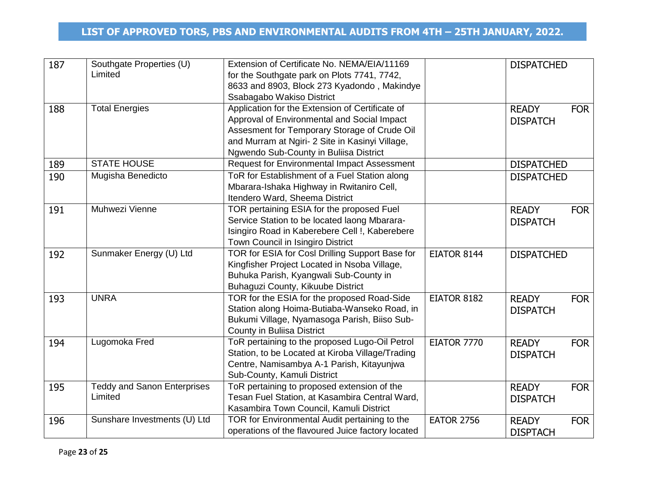| 187 | Southgate Properties (U)<br>Limited           | Extension of Certificate No. NEMA/EIA/11169<br>for the Southgate park on Plots 7741, 7742,<br>8633 and 8903, Block 273 Kyadondo, Makindye<br>Ssabagabo Wakiso District                                                                      |                    | <b>DISPATCHED</b>                             |
|-----|-----------------------------------------------|---------------------------------------------------------------------------------------------------------------------------------------------------------------------------------------------------------------------------------------------|--------------------|-----------------------------------------------|
| 188 | <b>Total Energies</b>                         | Application for the Extension of Certificate of<br>Approval of Environmental and Social Impact<br>Assesment for Temporary Storage of Crude Oil<br>and Murram at Ngiri- 2 Site in Kasinyi Village,<br>Ngwendo Sub-County in Buliisa District |                    | <b>READY</b><br><b>FOR</b><br><b>DISPATCH</b> |
| 189 | <b>STATE HOUSE</b>                            | Request for Environmental Impact Assessment                                                                                                                                                                                                 |                    | <b>DISPATCHED</b>                             |
| 190 | Mugisha Benedicto                             | ToR for Establishment of a Fuel Station along<br>Mbarara-Ishaka Highway in Rwitaniro Cell,<br>Itendero Ward, Sheema District                                                                                                                |                    | <b>DISPATCHED</b>                             |
| 191 | Muhwezi Vienne                                | TOR pertaining ESIA for the proposed Fuel<br>Service Station to be located laong Mbarara-<br>Isingiro Road in Kaberebere Cell !, Kaberebere<br>Town Council in Isingiro District                                                            |                    | <b>READY</b><br><b>FOR</b><br><b>DISPATCH</b> |
| 192 | Sunmaker Energy (U) Ltd                       | TOR for ESIA for Cosl Drilling Support Base for<br>Kingfisher Project Located in Nsoba Village,<br>Buhuka Parish, Kyangwali Sub-County in<br>Buhaguzi County, Kikuube District                                                              | EIATOR 8144        | <b>DISPATCHED</b>                             |
| 193 | <b>UNRA</b>                                   | TOR for the ESIA for the proposed Road-Side<br>Station along Hoima-Butiaba-Wanseko Road, in<br>Bukumi Village, Nyamasoga Parish, Biiso Sub-<br><b>County in Buliisa District</b>                                                            | EIATOR 8182        | <b>READY</b><br><b>FOR</b><br><b>DISPATCH</b> |
| 194 | Lugomoka Fred                                 | ToR pertaining to the proposed Lugo-Oil Petrol<br>Station, to be Located at Kiroba Village/Trading<br>Centre, Namisambya A-1 Parish, Kitayunjwa<br>Sub-County, Kamuli District                                                              | <b>EIATOR 7770</b> | <b>FOR</b><br><b>READY</b><br><b>DISPATCH</b> |
| 195 | <b>Teddy and Sanon Enterprises</b><br>Limited | ToR pertaining to proposed extension of the<br>Tesan Fuel Station, at Kasambira Central Ward,<br>Kasambira Town Council, Kamuli District                                                                                                    |                    | <b>FOR</b><br><b>READY</b><br><b>DISPATCH</b> |
| 196 | Sunshare Investments (U) Ltd                  | TOR for Environmental Audit pertaining to the<br>operations of the flavoured Juice factory located                                                                                                                                          | <b>EATOR 2756</b>  | <b>FOR</b><br><b>READY</b><br><b>DISPTACH</b> |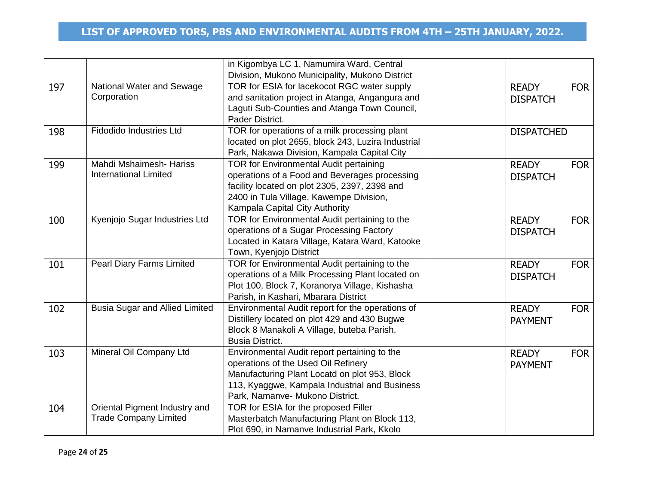|     |                                       | in Kigombya LC 1, Namumira Ward, Central           |                   |            |
|-----|---------------------------------------|----------------------------------------------------|-------------------|------------|
|     |                                       | Division, Mukono Municipality, Mukono District     |                   |            |
| 197 | National Water and Sewage             | TOR for ESIA for lacekocot RGC water supply        | <b>READY</b>      | <b>FOR</b> |
|     | Corporation                           | and sanitation project in Atanga, Angangura and    | <b>DISPATCH</b>   |            |
|     |                                       | Laguti Sub-Counties and Atanga Town Council,       |                   |            |
|     |                                       | Pader District.                                    |                   |            |
| 198 | <b>Fidodido Industries Ltd</b>        | TOR for operations of a milk processing plant      | <b>DISPATCHED</b> |            |
|     |                                       | located on plot 2655, block 243, Luzira Industrial |                   |            |
|     |                                       | Park, Nakawa Division, Kampala Capital City        |                   |            |
| 199 | Mahdi Mshaimesh- Hariss               | <b>TOR for Environmental Audit pertaining</b>      | <b>READY</b>      | <b>FOR</b> |
|     | <b>International Limited</b>          | operations of a Food and Beverages processing      | <b>DISPATCH</b>   |            |
|     |                                       | facility located on plot 2305, 2397, 2398 and      |                   |            |
|     |                                       | 2400 in Tula Village, Kawempe Division,            |                   |            |
|     |                                       | Kampala Capital City Authority                     |                   |            |
| 100 | Kyenjojo Sugar Industries Ltd         | TOR for Environmental Audit pertaining to the      | <b>READY</b>      | <b>FOR</b> |
|     |                                       | operations of a Sugar Processing Factory           | <b>DISPATCH</b>   |            |
|     |                                       | Located in Katara Village, Katara Ward, Katooke    |                   |            |
|     |                                       | Town, Kyenjojo District                            |                   |            |
| 101 | <b>Pearl Diary Farms Limited</b>      | TOR for Environmental Audit pertaining to the      | <b>READY</b>      | <b>FOR</b> |
|     |                                       | operations of a Milk Processing Plant located on   | <b>DISPATCH</b>   |            |
|     |                                       | Plot 100, Block 7, Koranorya Village, Kishasha     |                   |            |
|     |                                       | Parish, in Kashari, Mbarara District               |                   |            |
| 102 | <b>Busia Sugar and Allied Limited</b> | Environmental Audit report for the operations of   | <b>READY</b>      | <b>FOR</b> |
|     |                                       | Distillery located on plot 429 and 430 Bugwe       | <b>PAYMENT</b>    |            |
|     |                                       | Block 8 Manakoli A Village, buteba Parish,         |                   |            |
|     |                                       | <b>Busia District.</b>                             |                   |            |
| 103 | Mineral Oil Company Ltd               | Environmental Audit report pertaining to the       | <b>READY</b>      | <b>FOR</b> |
|     |                                       | operations of the Used Oil Refinery                | <b>PAYMENT</b>    |            |
|     |                                       | Manufacturing Plant Locatd on plot 953, Block      |                   |            |
|     |                                       | 113, Kyaggwe, Kampala Industrial and Business      |                   |            |
|     |                                       | Park, Namanve- Mukono District.                    |                   |            |
| 104 | Oriental Pigment Industry and         | TOR for ESIA for the proposed Filler               |                   |            |
|     | <b>Trade Company Limited</b>          | Masterbatch Manufacturing Plant on Block 113,      |                   |            |
|     |                                       | Plot 690, in Namanve Industrial Park, Kkolo        |                   |            |